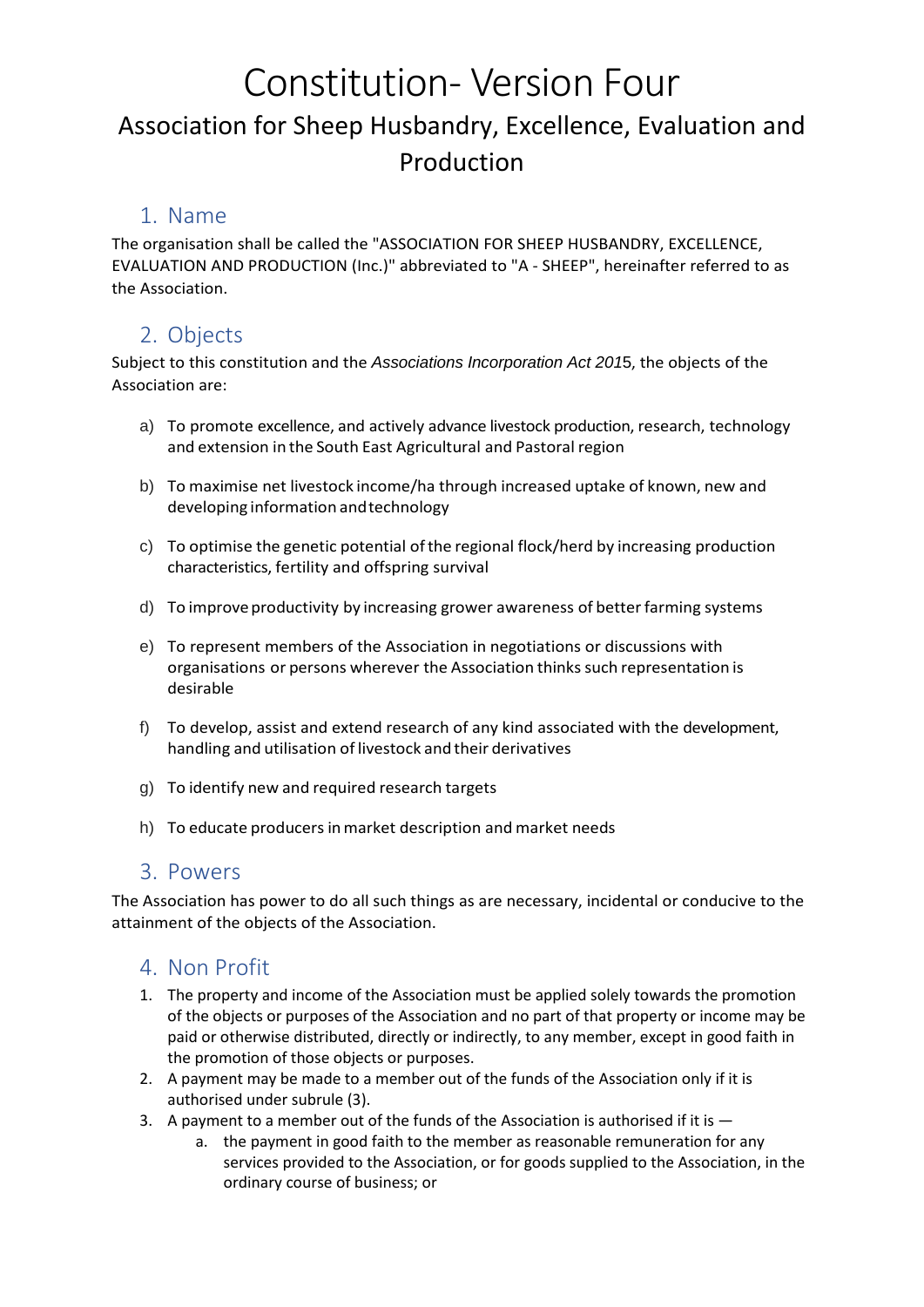# Constitution- Version Four Association for Sheep Husbandry, Excellence, Evaluation and Production

#### 1. Name

The organisation shall be called the "ASSOCIATION FOR SHEEP HUSBANDRY, EXCELLENCE, EVALUATION AND PRODUCTION (Inc.)" abbreviated to "A - SHEEP", hereinafter referred to as the Association.

# 2. Objects

Subject to this constitution and the *Associations Incorporation Act 201*5, the objects of the Association are:

- a) To promote excellence, and actively advance livestock production, research, technology and extension in the South East Agricultural and Pastoral region
- b) To maximise net livestock income/ha through increased uptake of known, new and developing information andtechnology
- c) To optimise the genetic potential ofthe regional flock/herd by increasing production characteristics, fertility and offspring survival
- d) To improve productivity by increasing grower awareness of better farming systems
- e) To represent members of the Association in negotiations or discussions with organisations or persons wherever the Association thinks such representation is desirable
- f) To develop, assist and extend research of any kind associated with the development, handling and utilisation of livestock and their derivatives
- g) To identify new and required research targets
- h) To educate producers in market description and market needs

#### 3. Powers

The Association has power to do all such things as are necessary, incidental or conducive to the attainment of the objects of the Association.

### 4. Non Profit

- 1. The property and income of the Association must be applied solely towards the promotion of the objects or purposes of the Association and no part of that property or income may be paid or otherwise distributed, directly or indirectly, to any member, except in good faith in the promotion of those objects or purposes.
- 2. A payment may be made to a member out of the funds of the Association only if it is authorised under subrule (3).
- 3. A payment to a member out of the funds of the Association is authorised if it is  $$ 
	- a. the payment in good faith to the member as reasonable remuneration for any services provided to the Association, or for goods supplied to the Association, in the ordinary course of business; or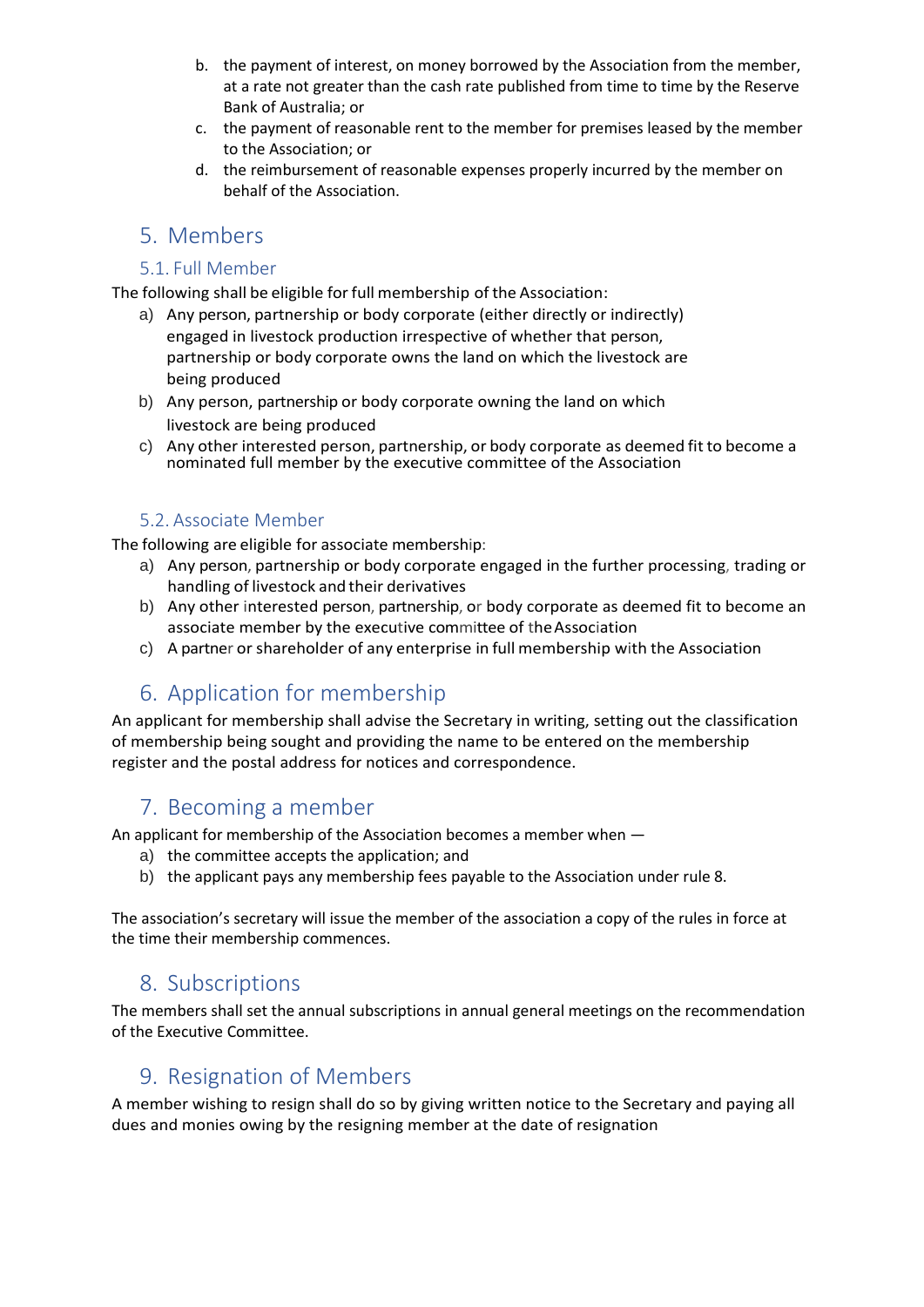- b. the payment of interest, on money borrowed by the Association from the member, at a rate not greater than the cash rate published from time to time by the Reserve Bank of Australia; or
- c. the payment of reasonable rent to the member for premises leased by the member to the Association; or
- d. the reimbursement of reasonable expenses properly incurred by the member on behalf of the Association.

#### 5. Members

#### 5.1. Full Member

The following shall be eligible for full membership of the Association:

- a) Any person, partnership or body corporate (either directly or indirectly) engaged in livestock production irrespective of whether that person, partnership or body corporate owns the land on which the livestock are being produced
- b) Any person, partnership or body corporate owning the land on which livestock are being produced
- c) Any other interested person, partnership, or body corporate as deemed fit to become a nominated full member by the executive committee of the Association

#### 5.2. Associate Member

The following are eligible for associate membership:

- a) Any person, partnership or body corporate engaged in the further processing, trading or handling of livestock and their derivatives
- b) Any other interested person, partnership, or body corporate as deemed fit to become an associate member by the executive committee of theAssociation
- c) A partner or shareholder of any enterprise in full membership with the Association

# 6. Application for membership

An applicant for membership shall advise the Secretary in writing, setting out the classification of membership being sought and providing the name to be entered on the membership register and the postal address for notices and correspondence.

### 7. Becoming a member

An applicant for membership of the Association becomes a member when —

- a) the committee accepts the application; and
- b) the applicant pays any membership fees payable to the Association under rule 8.

The association's secretary will issue the member of the association a copy of the rules in force at the time their membership commences.

#### 8. Subscriptions

The members shall set the annual subscriptions in annual general meetings on the recommendation of the Executive Committee.

#### 9. Resignation of Members

A member wishing to resign shall do so by giving written notice to the Secretary and paying all dues and monies owing by the resigning member at the date of resignation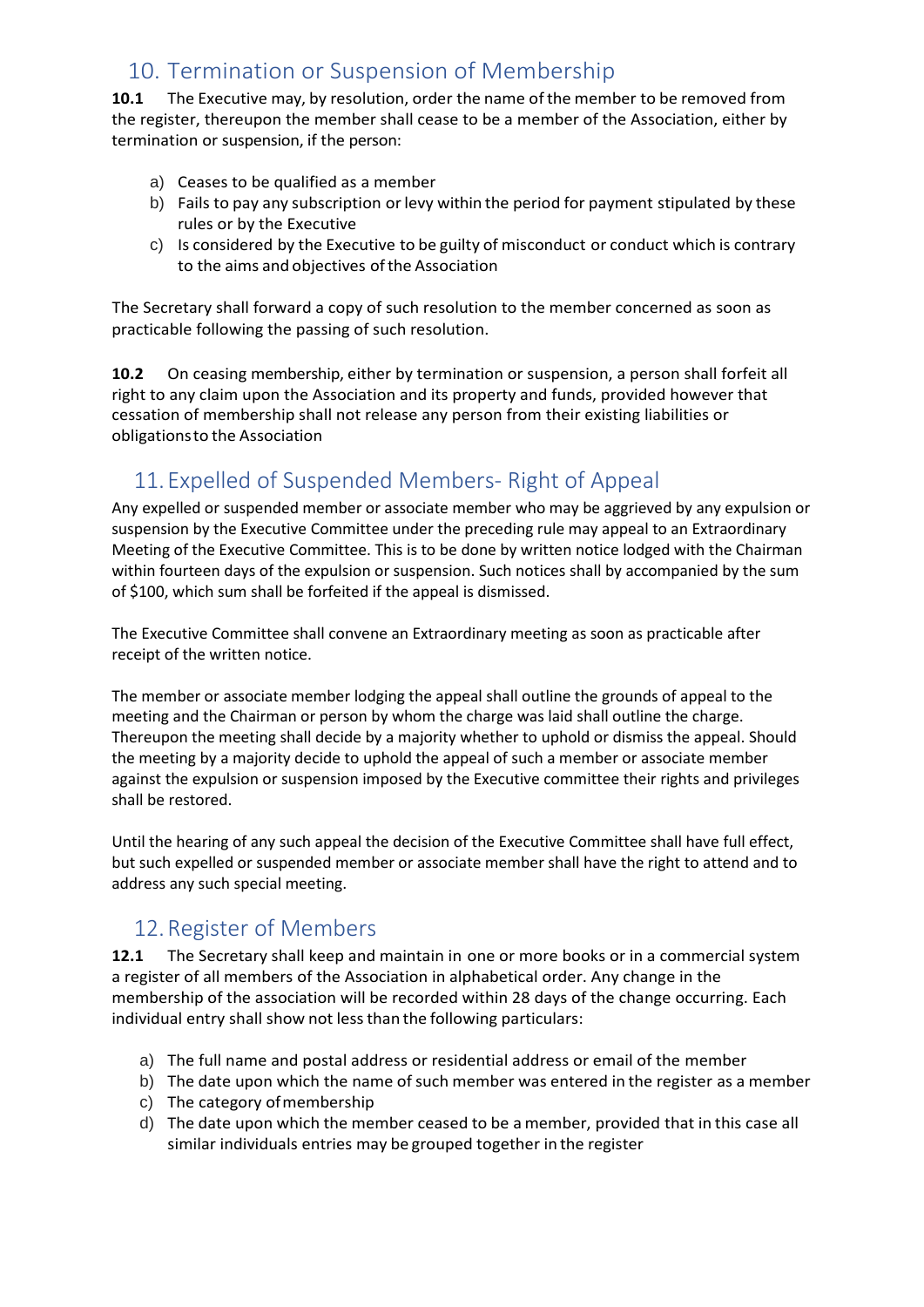# 10. Termination or Suspension of Membership

**10.1** The Executive may, by resolution, order the name ofthe member to be removed from the register, thereupon the member shall cease to be a member of the Association, either by termination or suspension, if the person:

- a) Ceases to be qualified as a member
- b) Fails to pay any subscription orlevy within the period for payment stipulated by these rules or by the Executive
- c) Is considered by the Executive to be guilty of misconduct or conduct which is contrary to the aims and objectives of the Association

The Secretary shall forward a copy of such resolution to the member concerned as soon as practicable following the passing of such resolution.

**10.2** On ceasing membership, either by termination or suspension, a person shall forfeit all right to any claim upon the Association and its property and funds, provided however that cessation of membership shall not release any person from their existing liabilities or obligationsto the Association

# 11.Expelled of Suspended Members- Right of Appeal

Any expelled or suspended member or associate member who may be aggrieved by any expulsion or suspension by the Executive Committee under the preceding rule may appeal to an Extraordinary Meeting of the Executive Committee. This is to be done by written notice lodged with the Chairman within fourteen days of the expulsion or suspension. Such notices shall by accompanied by the sum of \$100, which sum shall be forfeited if the appeal is dismissed.

The Executive Committee shall convene an Extraordinary meeting as soon as practicable after receipt of the written notice.

The member or associate member lodging the appeal shall outline the grounds of appeal to the meeting and the Chairman or person by whom the charge was laid shall outline the charge. Thereupon the meeting shall decide by a majority whether to uphold or dismiss the appeal. Should the meeting by a majority decide to uphold the appeal of such a member or associate member against the expulsion or suspension imposed by the Executive committee their rights and privileges shall be restored.

Until the hearing of any such appeal the decision of the Executive Committee shall have full effect, but such expelled or suspended member or associate member shall have the right to attend and to address any such special meeting.

### 12.Register of Members

**12.1** The Secretary shall keep and maintain in one or more books or in a commercial system a register of all members of the Association in alphabetical order. Any change in the membership of the association will be recorded within 28 days of the change occurring. Each individual entry shall show not less than the following particulars:

- a) The full name and postal address or residential address or email of the member
- b) The date upon which the name of such member was entered in the register as a member
- c) The category ofmembership
- d) The date upon which the member ceased to be a member, provided that in this case all similar individuals entries may be grouped together in the register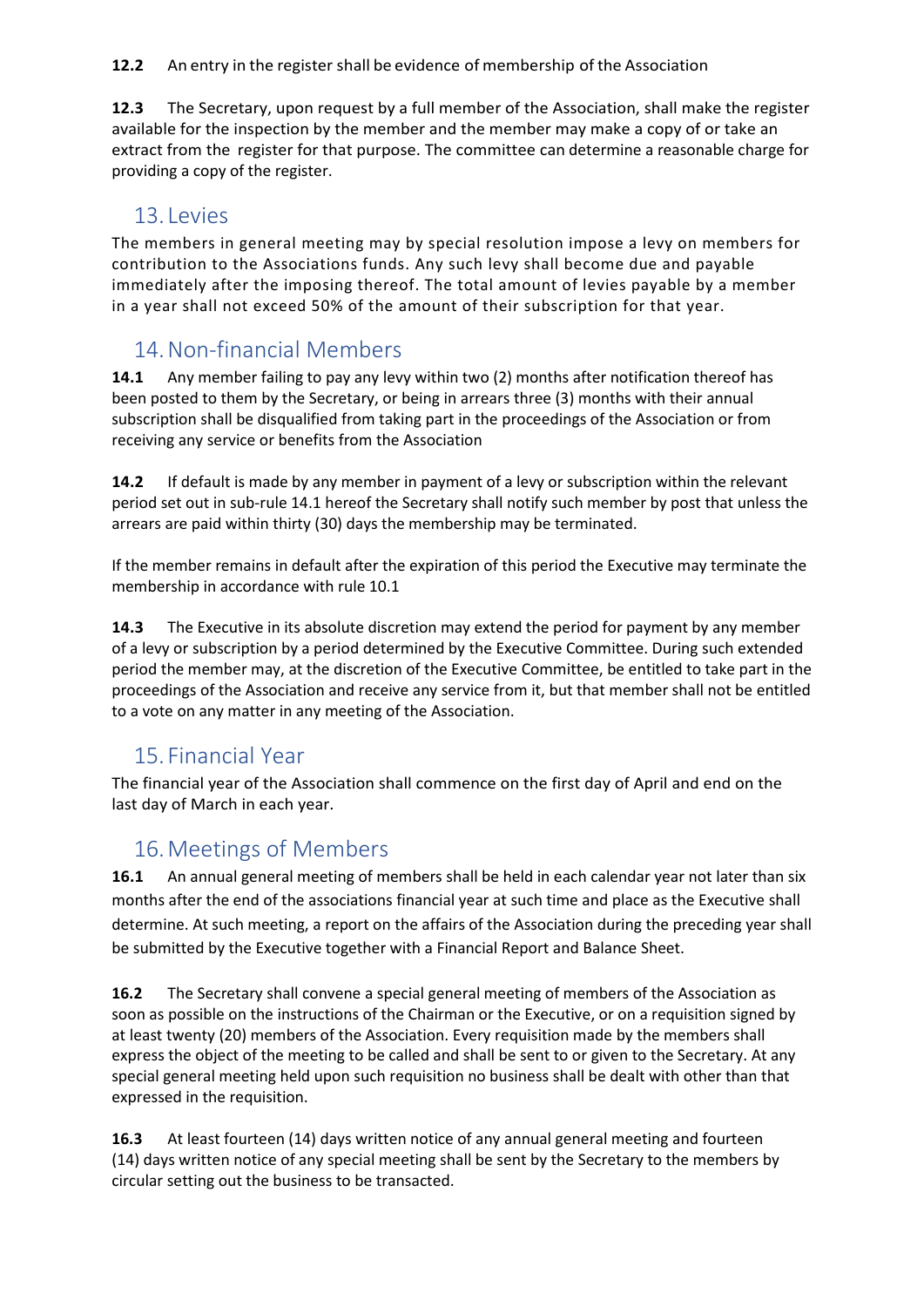**12.2** An entry in the register shall be evidence of membership of the Association

**12.3** The Secretary, upon request by a full member of the Association, shall make the register available for the inspection by the member and the member may make a copy of or take an extract from the register for that purpose. The committee can determine a reasonable charge for providing a copy of the register.

#### 13. Levies

The members in general meeting may by special resolution impose a levy on members for contribution to the Associations funds. Any such levy shall become due and payable immediately after the imposing thereof. The total amount of levies payable by a member in a year shall not exceed 50% of the amount of their subscription for that year.

### 14.Non-financial Members

**14.1** Any member failing to pay any levy within two (2) months after notification thereof has been posted to them by the Secretary, or being in arrears three (3) months with their annual subscription shall be disqualified from taking part in the proceedings of the Association or from receiving any service or benefits from the Association

**14.2** If default is made by any member in payment of a levy or subscription within the relevant period set out in sub-rule 14.1 hereof the Secretary shall notify such member by post that unless the arrears are paid within thirty (30) days the membership may be terminated.

If the member remains in default after the expiration of this period the Executive may terminate the membership in accordance with rule 10.1

**14.3** The Executive in its absolute discretion may extend the period for payment by any member of a levy or subscription by a period determined by the Executive Committee. During such extended period the member may, at the discretion of the Executive Committee, be entitled to take part in the proceedings of the Association and receive any service from it, but that member shall not be entitled to a vote on any matter in any meeting of the Association.

### 15. Financial Year

The financial year of the Association shall commence on the first day of April and end on the last day of March in each year.

### 16.Meetings of Members

**16.1** An annual general meeting of members shall be held in each calendar year not later than six months after the end of the associations financial year at such time and place as the Executive shall determine. At such meeting, a report on the affairs of the Association during the preceding year shall be submitted by the Executive together with a Financial Report and Balance Sheet.

**16.2** The Secretary shall convene a special general meeting of members of the Association as soon as possible on the instructions of the Chairman or the Executive, or on a requisition signed by at least twenty (20) members of the Association. Every requisition made by the members shall express the object of the meeting to be called and shall be sent to or given to the Secretary. At any special general meeting held upon such requisition no business shall be dealt with other than that expressed in the requisition.

**16.3** At least fourteen (14) days written notice of any annual general meeting and fourteen (14) days written notice of any special meeting shall be sent by the Secretary to the members by circular setting out the business to be transacted.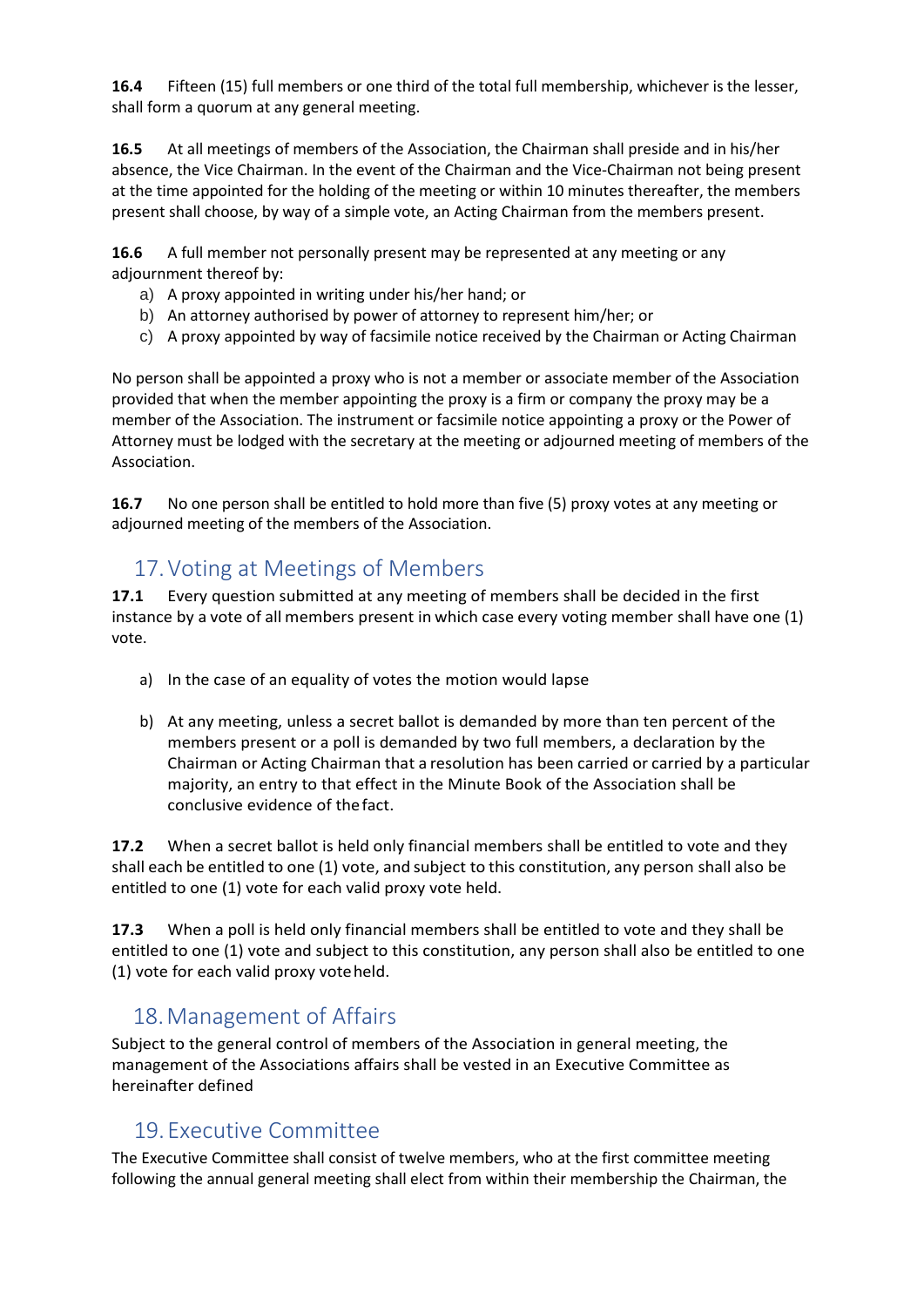**16.4** Fifteen (15) full members or one third of the total full membership, whichever is the lesser, shall form a quorum at any general meeting.

**16.5** At all meetings of members of the Association, the Chairman shall preside and in his/her absence, the Vice Chairman. In the event of the Chairman and the Vice-Chairman not being present at the time appointed for the holding of the meeting or within 10 minutes thereafter, the members present shall choose, by way of a simple vote, an Acting Chairman from the members present.

**16.6** A full member not personally present may be represented at any meeting or any adjournment thereof by:

- a) A proxy appointed in writing under his/her hand; or
- b) An attorney authorised by power of attorney to represent him/her; or
- c) A proxy appointed by way of facsimile notice received by the Chairman or Acting Chairman

No person shall be appointed a proxy who is not a member or associate member of the Association provided that when the member appointing the proxy is a firm or company the proxy may be a member of the Association. The instrument or facsimile notice appointing a proxy or the Power of Attorney must be lodged with the secretary at the meeting or adjourned meeting of members of the Association.

**16.7** No one person shall be entitled to hold more than five (5) proxy votes at any meeting or adjourned meeting of the members of the Association.

### 17.Voting at Meetings of Members

**17.1** Every question submitted at any meeting of members shall be decided in the first instance by a vote of all members present in which case every voting member shall have one (1) vote.

- a) In the case of an equality of votes the motion would lapse
- b) At any meeting, unless a secret ballot is demanded by more than ten percent of the members present or a poll is demanded by two full members, a declaration by the Chairman or Acting Chairman that a resolution has been carried or carried by a particular majority, an entry to that effect in the Minute Book of the Association shall be conclusive evidence of thefact.

**17.2** When a secret ballot is held only financial members shall be entitled to vote and they shall each be entitled to one (1) vote, and subject to this constitution, any person shall also be entitled to one (1) vote for each valid proxy vote held.

**17.3** When a poll is held only financial members shall be entitled to vote and they shall be entitled to one (1) vote and subject to this constitution, any person shall also be entitled to one (1) vote for each valid proxy voteheld.

### 18.Management of Affairs

Subject to the general control of members of the Association in general meeting, the management of the Associations affairs shall be vested in an Executive Committee as hereinafter defined

### 19.Executive Committee

The Executive Committee shall consist of twelve members, who at the first committee meeting following the annual general meeting shall elect from within their membership the Chairman, the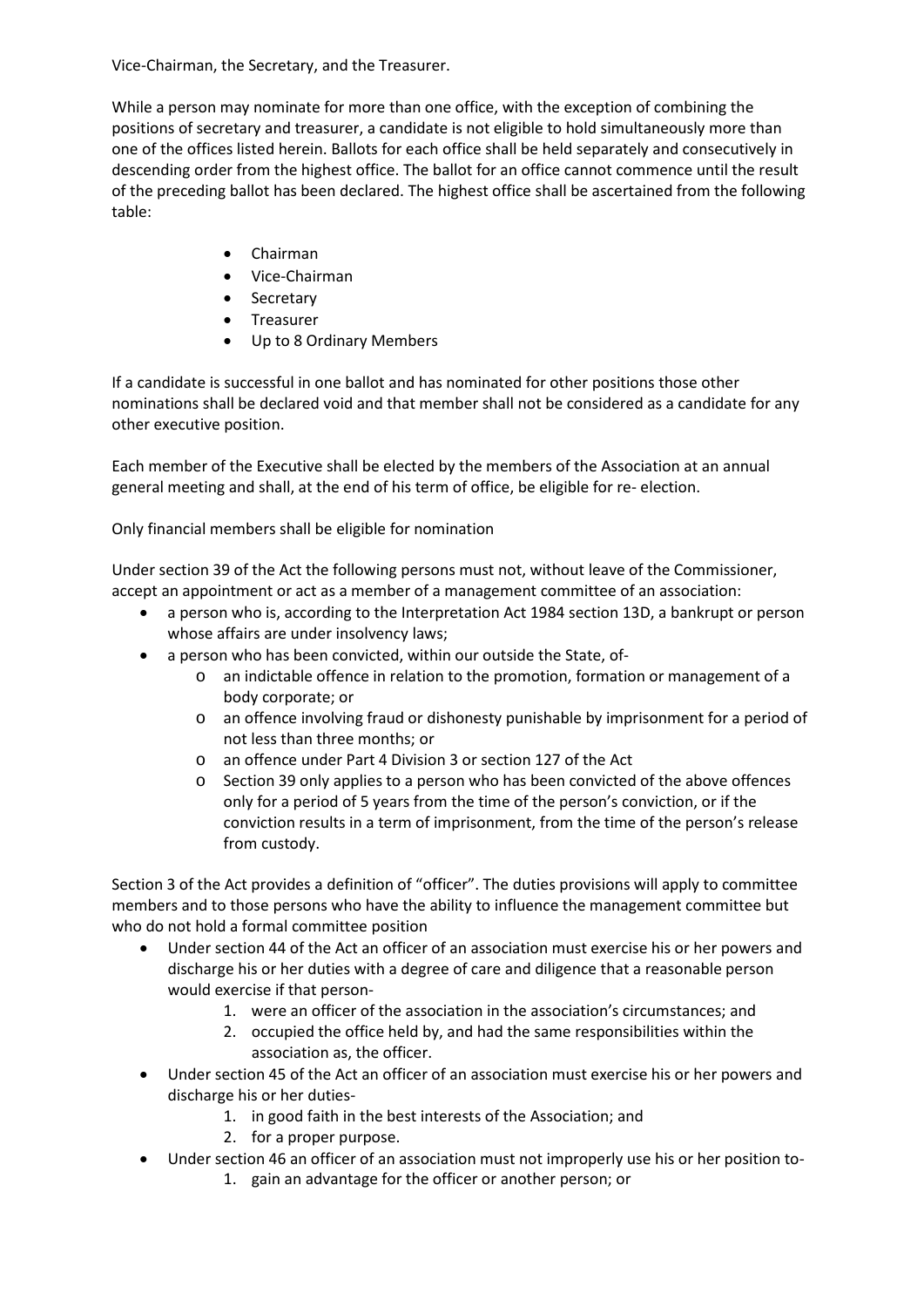Vice-Chairman, the Secretary, and the Treasurer.

While a person may nominate for more than one office, with the exception of combining the positions of secretary and treasurer, a candidate is not eligible to hold simultaneously more than one of the offices listed herein. Ballots for each office shall be held separately and consecutively in descending order from the highest office. The ballot for an office cannot commence until the result of the preceding ballot has been declared. The highest office shall be ascertained from the following table:

- Chairman
- Vice-Chairman
- Secretary
- Treasurer
- Up to 8 Ordinary Members

If a candidate is successful in one ballot and has nominated for other positions those other nominations shall be declared void and that member shall not be considered as a candidate for any other executive position.

Each member of the Executive shall be elected by the members of the Association at an annual general meeting and shall, at the end of his term of office, be eligible for re- election.

Only financial members shall be eligible for nomination

Under section 39 of the Act the following persons must not, without leave of the Commissioner, accept an appointment or act as a member of a management committee of an association:

- a person who is, according to the Interpretation Act 1984 section 13D, a bankrupt or person whose affairs are under insolvency laws;
- a person who has been convicted, within our outside the State, of
	- o an indictable offence in relation to the promotion, formation or management of a body corporate; or
	- o an offence involving fraud or dishonesty punishable by imprisonment for a period of not less than three months; or
	- o an offence under Part 4 Division 3 or section 127 of the Act
	- o Section 39 only applies to a person who has been convicted of the above offences only for a period of 5 years from the time of the person's conviction, or if the conviction results in a term of imprisonment, from the time of the person's release from custody.

Section 3 of the Act provides a definition of "officer". The duties provisions will apply to committee members and to those persons who have the ability to influence the management committee but who do not hold a formal committee position

- Under section 44 of the Act an officer of an association must exercise his or her powers and discharge his or her duties with a degree of care and diligence that a reasonable person would exercise if that person-
	- 1. were an officer of the association in the association's circumstances; and
	- 2. occupied the office held by, and had the same responsibilities within the association as, the officer.
- Under section 45 of the Act an officer of an association must exercise his or her powers and discharge his or her duties-
	- 1. in good faith in the best interests of the Association; and
	- 2. for a proper purpose.
- Under section 46 an officer of an association must not improperly use his or her position to-
	- 1. gain an advantage for the officer or another person; or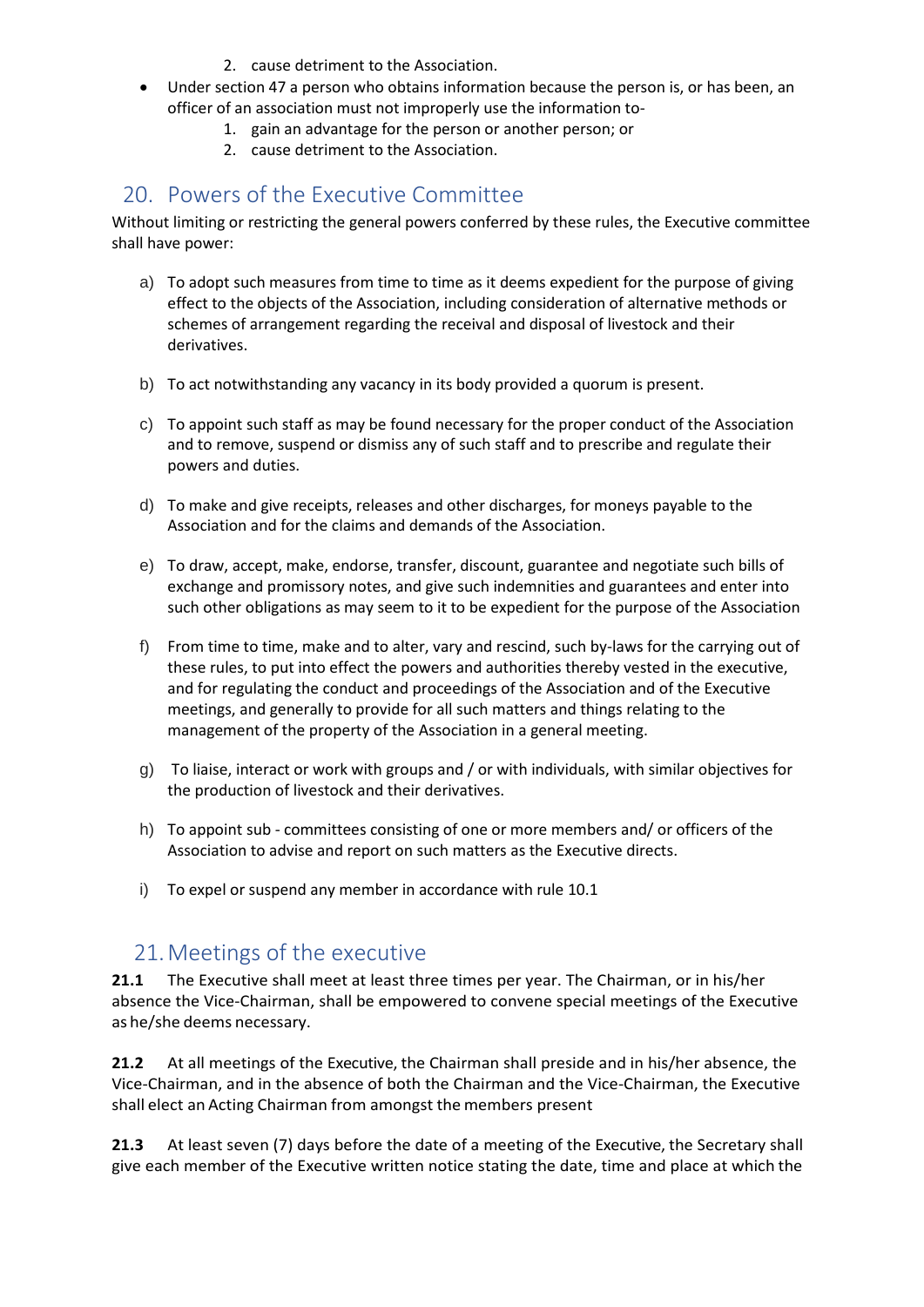- 2. cause detriment to the Association.
- Under section 47 a person who obtains information because the person is, or has been, an officer of an association must not improperly use the information to-
	- 1. gain an advantage for the person or another person; or
	- 2. cause detriment to the Association.

### 20. Powers of the Executive Committee

Without limiting or restricting the general powers conferred by these rules, the Executive committee shall have power:

- a) To adopt such measures from time to time as it deems expedient for the purpose of giving effect to the objects of the Association, including consideration of alternative methods or schemes of arrangement regarding the receival and disposal of livestock and their derivatives.
- b) To act notwithstanding any vacancy in its body provided a quorum is present.
- c) To appoint such staff as may be found necessary for the proper conduct of the Association and to remove, suspend or dismiss any of such staff and to prescribe and regulate their powers and duties.
- d) To make and give receipts, releases and other discharges, for moneys payable to the Association and for the claims and demands of the Association.
- e) To draw, accept, make, endorse, transfer, discount, guarantee and negotiate such bills of exchange and promissory notes, and give such indemnities and guarantees and enter into such other obligations as may seem to it to be expedient for the purpose of the Association
- f) From time to time, make and to alter, vary and rescind, such by-laws for the carrying out of these rules, to put into effect the powers and authorities thereby vested in the executive, and for regulating the conduct and proceedings of the Association and of the Executive meetings, and generally to provide for all such matters and things relating to the management of the property of the Association in a general meeting.
- g) To liaise, interact or work with groups and / or with individuals, with similar objectives for the production of livestock and their derivatives.
- h) To appoint sub committees consisting of one or more members and/ or officers of the Association to advise and report on such matters as the Executive directs.
- i) To expel or suspend any member in accordance with rule 10.1

#### 21.Meetings of the executive

**21.1** The Executive shall meet at least three times per year. The Chairman, or in his/her absence the Vice-Chairman, shall be empowered to convene special meetings of the Executive as he/she deems necessary.

**21.2** At all meetings of the Executive, the Chairman shall preside and in his/her absence, the Vice-Chairman, and in the absence of both the Chairman and the Vice-Chairman, the Executive shall elect an Acting Chairman from amongst the members present

**21.3** At least seven (7) days before the date of a meeting of the Executive, the Secretary shall give each member of the Executive written notice stating the date, time and place at which the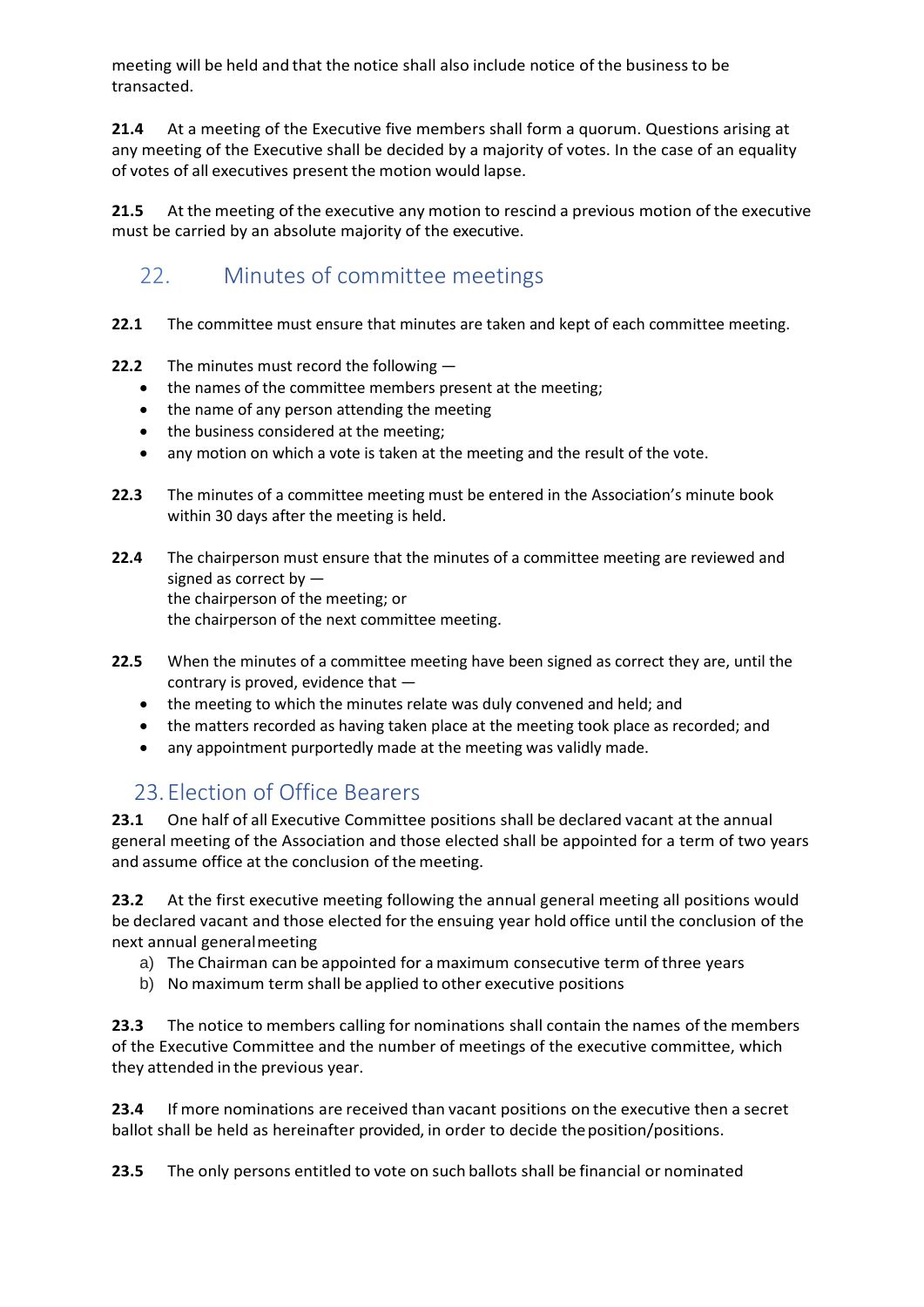meeting will be held and that the notice shall also include notice of the business to be transacted.

**21.4** At a meeting of the Executive five members shall form a quorum. Questions arising at any meeting of the Executive shall be decided by a majority of votes. In the case of an equality of votes of all executives present the motion would lapse.

**21.5** At the meeting of the executive any motion to rescind a previous motion of the executive must be carried by an absolute majority of the executive.

# 22. Minutes of committee meetings

- **22.1** The committee must ensure that minutes are taken and kept of each committee meeting.
- **22.2** The minutes must record the following
	- the names of the committee members present at the meeting;
	- the name of any person attending the meeting
	- the business considered at the meeting;
	- any motion on which a vote is taken at the meeting and the result of the vote.
- **22.3** The minutes of a committee meeting must be entered in the Association's minute book within 30 days after the meeting is held.
- **22.4** The chairperson must ensure that the minutes of a committee meeting are reviewed and signed as correct by the chairperson of the meeting; or the chairperson of the next committee meeting.
- **22.5** When the minutes of a committee meeting have been signed as correct they are, until the contrary is proved, evidence that —
	- the meeting to which the minutes relate was duly convened and held; and
	- the matters recorded as having taken place at the meeting took place as recorded; and
	- any appointment purportedly made at the meeting was validly made.

### 23.Election of Office Bearers

**23.1** One half of all Executive Committee positions shall be declared vacant at the annual general meeting of the Association and those elected shall be appointed for a term of two years and assume office at the conclusion of the meeting.

**23.2** At the first executive meeting following the annual general meeting all positions would be declared vacant and those elected forthe ensuing year hold office until the conclusion of the next annual generalmeeting

- a) The Chairman can be appointed for amaximum consecutive term of three years
- b) No maximum term shall be applied to other executive positions

**23.3** The notice to members calling for nominations shall contain the names of the members of the Executive Committee and the number of meetings of the executive committee, which they attended in the previous year.

**23.4** If more nominations are received than vacant positions on the executive then a secret ballot shall be held as hereinafter provided, in order to decide theposition/positions.

**23.5** The only persons entitled to vote on such ballots shall be financial or nominated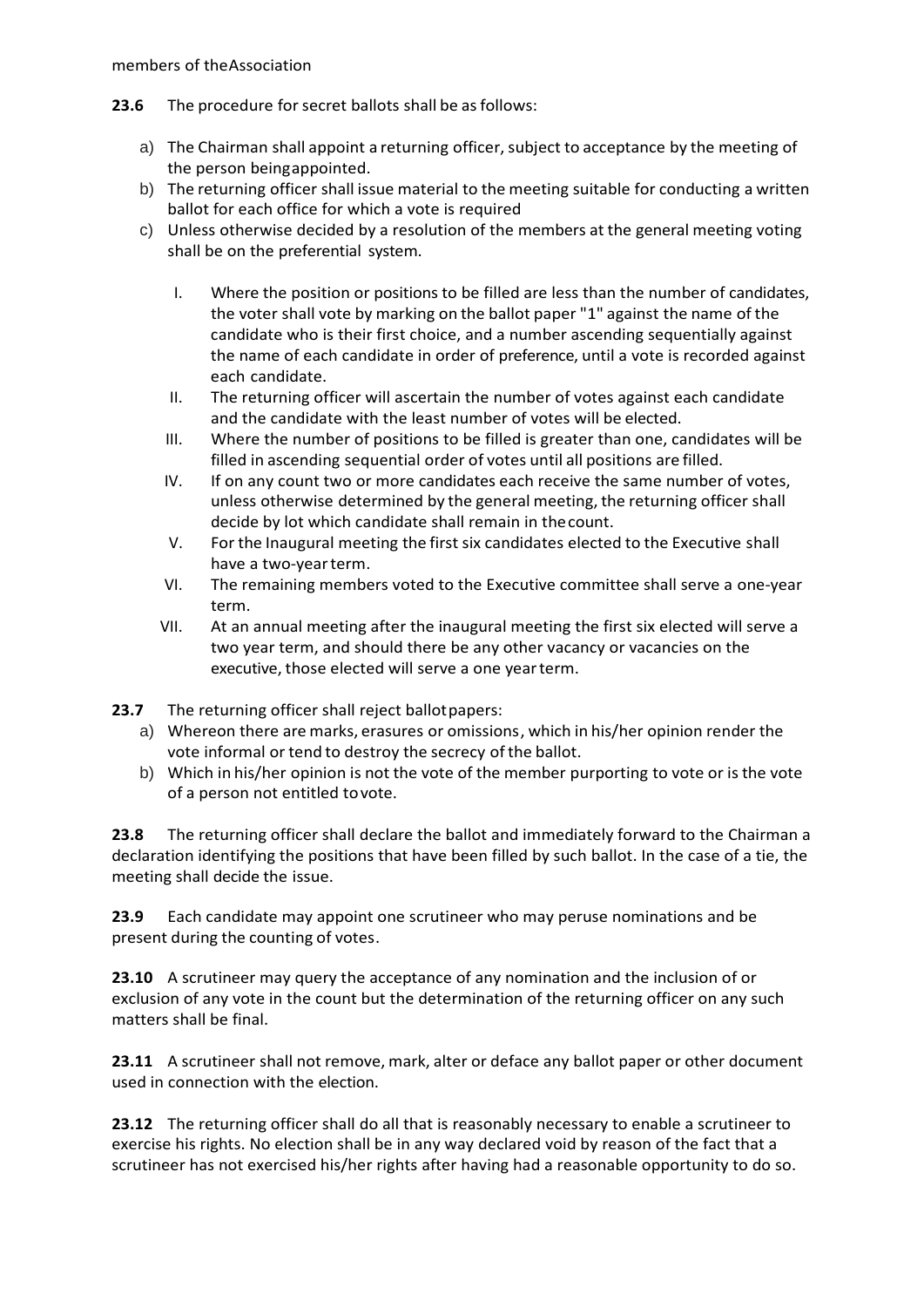- **23.6** The procedure for secret ballots shall be as follows:
	- a) The Chairman shall appoint a returning officer, subject to acceptance by the meeting of the person beingappointed.
	- b) The returning officer shall issue material to the meeting suitable for conducting a written ballot for each office for which a vote is required
	- c) Unless otherwise decided by a resolution of the members at the general meeting voting shall be on the preferential system.
		- I. Where the position or positions to be filled are less than the number of candidates, the voter shall vote by marking on the ballot paper "1" against the name of the candidate who is their first choice, and a number ascending sequentially against the name of each candidate in order of preference, until a vote is recorded against each candidate.
		- II. The returning officer will ascertain the number of votes against each candidate and the candidate with the least number of votes will be elected.
		- III. Where the number of positions to be filled is greater than one, candidates will be filled in ascending sequential order of votes until all positions are filled.
		- IV. If on any count two or more candidates each receive the same number of votes, unless otherwise determined by the general meeting, the returning officer shall decide by lot which candidate shall remain in thecount.
		- V. For the Inaugural meeting the first six candidates elected to the Executive shall have a two-yearterm.
		- VI. The remaining members voted to the Executive committee shall serve a one-year term.
		- VII. At an annual meeting after the inaugural meeting the first six elected will serve a two year term, and should there be any other vacancy or vacancies on the executive, those elected will serve a one yearterm.
- **23.7** The returning officer shall reject ballotpapers:
	- a) Whereon there are marks, erasures or omissions, which in his/her opinion render the vote informal or tend to destroy the secrecy of the ballot.
	- b) Which in his/her opinion is not the vote of the member purporting to vote or isthe vote of a person not entitled tovote.

**23.8** The returning officer shall declare the ballot and immediately forward to the Chairman a declaration identifying the positions that have been filled by such ballot. In the case of a tie, the meeting shall decide the issue.

**23.9** Each candidate may appoint one scrutineer who may peruse nominations and be present during the counting of votes.

**23.10** A scrutineer may query the acceptance of any nomination and the inclusion of or exclusion of any vote in the count but the determination of the returning officer on any such matters shall be final.

**23.11** A scrutineer shall not remove, mark, alter or deface any ballot paper or other document used in connection with the election.

**23.12** The returning officer shall do all that is reasonably necessary to enable a scrutineer to exercise his rights. No election shall be in any way declared void by reason of the fact that a scrutineer has not exercised his/her rights after having had a reasonable opportunity to do so.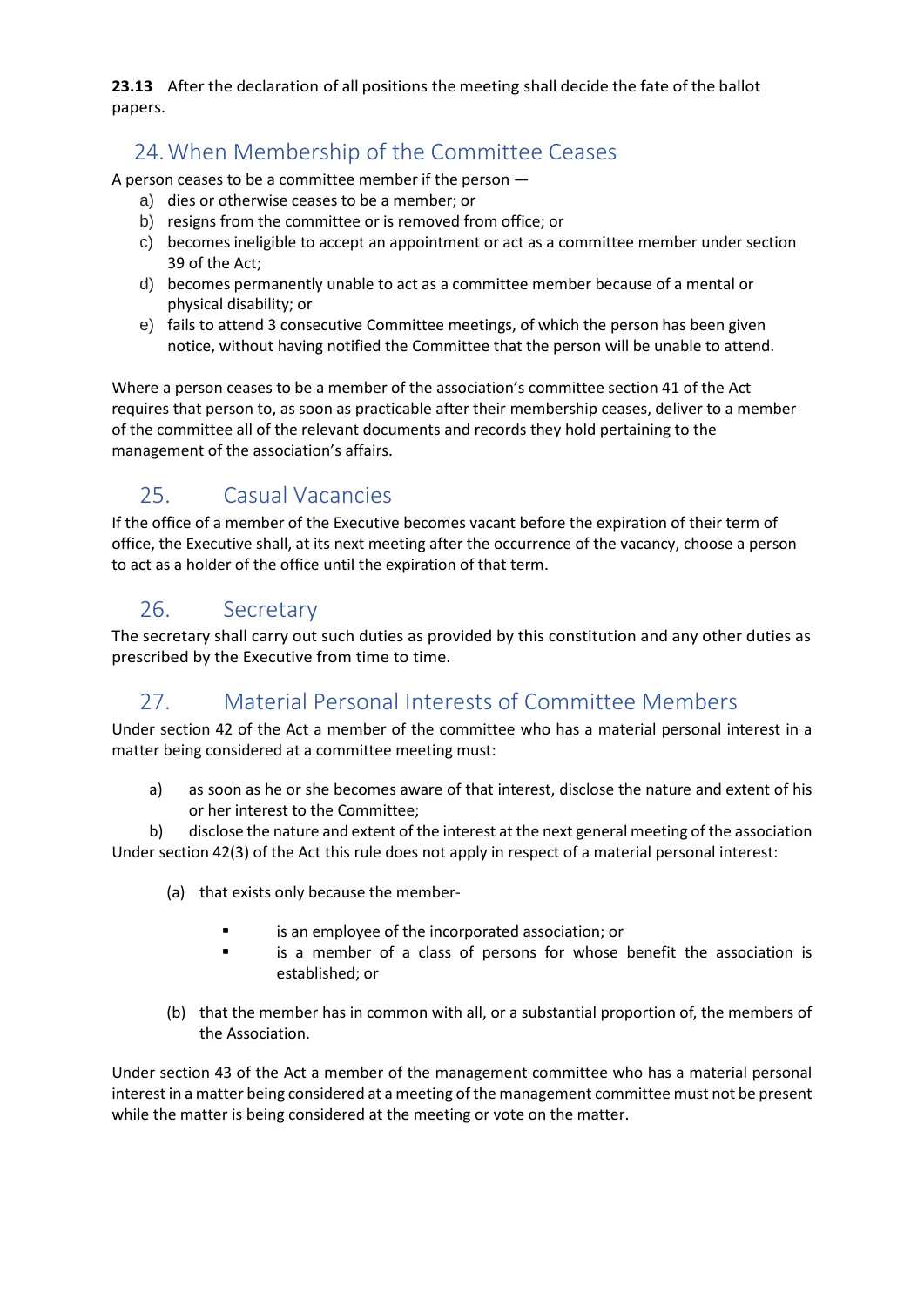**23.13** After the declaration of all positions the meeting shall decide the fate of the ballot papers.

# 24.When Membership of the Committee Ceases

A person ceases to be a committee member if the person —

- a) dies or otherwise ceases to be a member; or
- b) resigns from the committee or is removed from office; or
- c) becomes ineligible to accept an appointment or act as a committee member under section 39 of the Act;
- d) becomes permanently unable to act as a committee member because of a mental or physical disability; or
- e) fails to attend 3 consecutive Committee meetings, of which the person has been given notice, without having notified the Committee that the person will be unable to attend.

Where a person ceases to be a member of the association's committee section 41 of the Act requires that person to, as soon as practicable after their membership ceases, deliver to a member of the committee all of the relevant documents and records they hold pertaining to the management of the association's affairs.

# 25. Casual Vacancies

If the office of a member of the Executive becomes vacant before the expiration of their term of office, the Executive shall, at its next meeting after the occurrence of the vacancy, choose a person to act as a holder of the office until the expiration of that term.

### 26. Secretary

The secretary shall carry out such duties as provided by this constitution and any other duties as prescribed by the Executive from time to time.

# 27. Material Personal Interests of Committee Members

Under section 42 of the Act a member of the committee who has a material personal interest in a matter being considered at a committee meeting must:

a) as soon as he or she becomes aware of that interest, disclose the nature and extent of his or her interest to the Committee;

b) disclose the nature and extent of the interest at the next general meeting of the association Under section 42(3) of the Act this rule does not apply in respect of a material personal interest:

- (a) that exists only because the member
	- is an employee of the incorporated association; or
	- is a member of a class of persons for whose benefit the association is established; or
- (b) that the member has in common with all, or a substantial proportion of, the members of the Association.

Under section 43 of the Act a member of the management committee who has a material personal interest in a matter being considered at a meeting of the management committee must not be present while the matter is being considered at the meeting or vote on the matter.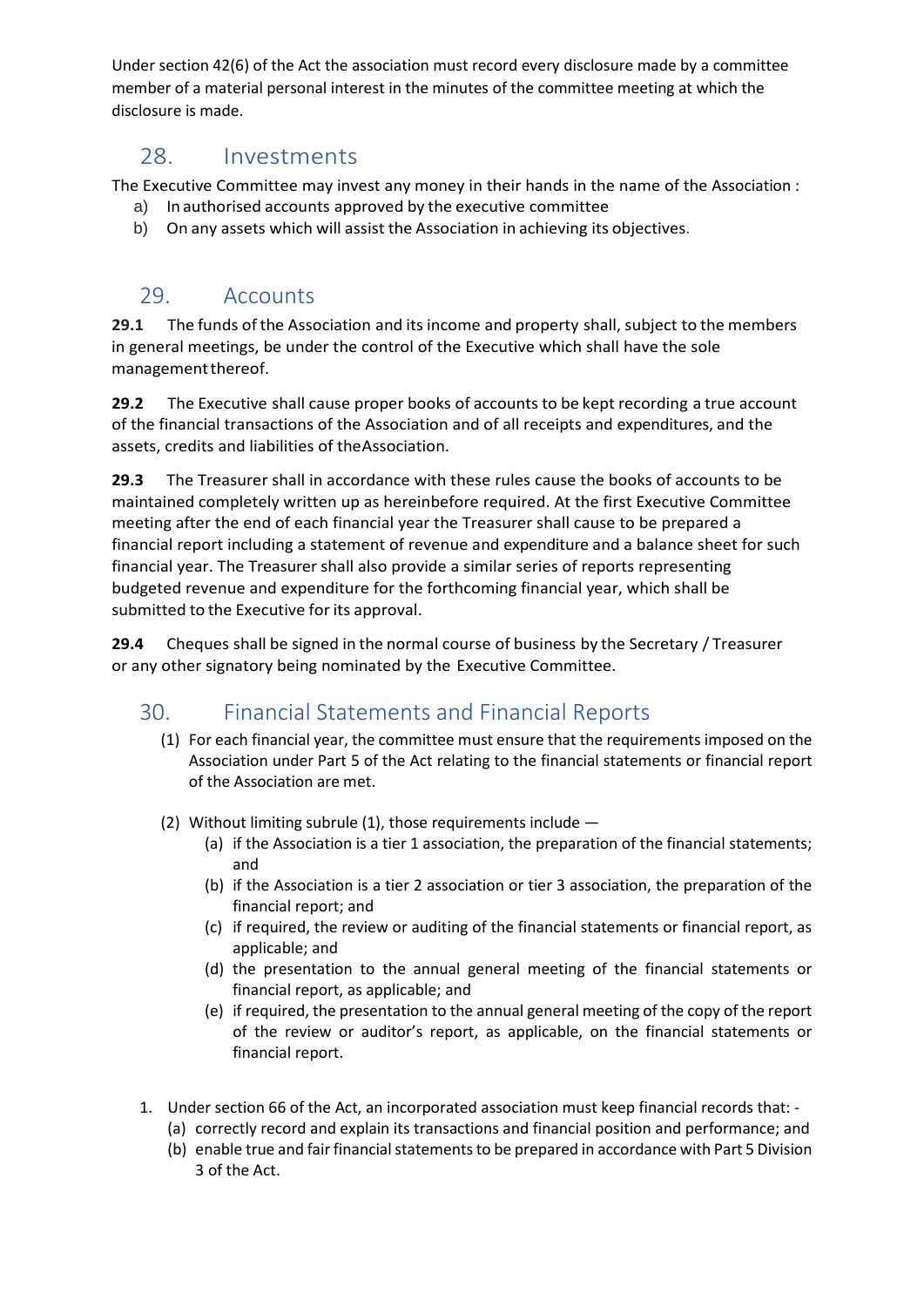Under section 42(6) of the Act the association must record every disclosure made by a committee member of a material personal interest in the minutes of the committee meeting at which the disclosure is made.

# 28. Investments

The Executive Committee may invest any money in their hands in the name of the Association : a) In authorised accounts approved by the executive committee

b) On any assets which will assist the Association in achieving its objectives.

# 29. Accounts

**29.1** The funds of the Association and its income and property shall, subject to the members in general meetings, be under the control of the Executive which shall have the sole management thereof.

**29.2** The Executive shall cause proper books of accounts to be kept recording a true account of the financial transactions of the Association and of all receipts and expenditures, and the assets, credits and liabilities of theAssociation.

**29.3** The Treasurer shall in accordance with these rules cause the books of accounts to be maintained completely written up as hereinbefore required. At the first Executive Committee meeting after the end of each financial year the Treasurer shall cause to be prepared a financial report including a statement of revenue and expenditure and a balance sheet for such financial year. The Treasurer shall also provide a similar series of reports representing budgeted revenue and expenditure for the forthcoming financial year, which shall be submitted to the Executive for its approval.

**29.4** Cheques shall be signed in the normal course of business by the Secretary / Treasurer or any other signatory being nominated by the Executive Committee.

### 30. Financial Statements and Financial Reports

- (1) For each financial year, the committee must ensure that the requirements imposed on the Association under Part 5 of the Act relating to the financial statements or financial report of the Association are met.
- (2) Without limiting subrule (1), those requirements include
	- (a) if the Association is a tier 1 association, the preparation of the financial statements; and
	- (b) if the Association is a tier 2 association or tier 3 association, the preparation of the financial report; and
	- (c) if required, the review or auditing of the financial statements or financial report, as applicable; and
	- (d) the presentation to the annual general meeting of the financial statements or financial report, as applicable; and
	- (e) if required, the presentation to the annual general meeting of the copy of the report of the review or auditor's report, as applicable, on the financial statements or financial report.
- 1. Under section 66 of the Act, an incorporated association must keep financial records that:
	- (a) correctly record and explain its transactions and financial position and performance; and
	- (b) enable true and fair financial statements to be prepared in accordance with Part 5 Division 3 of the Act.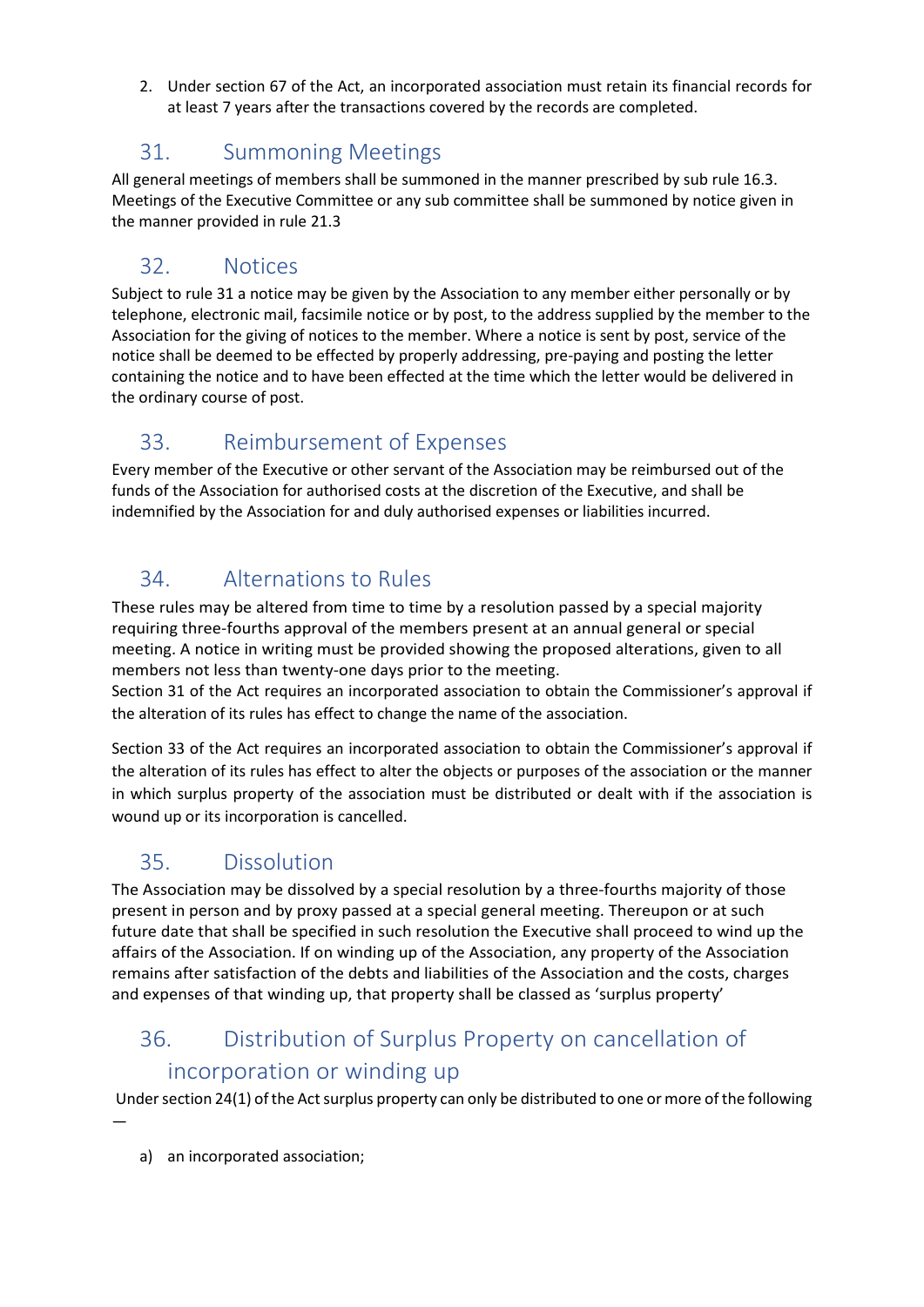2. Under section 67 of the Act, an incorporated association must retain its financial records for at least 7 years after the transactions covered by the records are completed.

# 31. Summoning Meetings

All general meetings of members shall be summoned in the manner prescribed by sub rule 16.3. Meetings of the Executive Committee or any sub committee shall be summoned by notice given in the manner provided in rule 21.3

# 32. Notices

Subject to rule 31 a notice may be given by the Association to any member either personally or by telephone, electronic mail, facsimile notice or by post, to the address supplied by the member to the Association for the giving of notices to the member. Where a notice is sent by post, service of the notice shall be deemed to be effected by properly addressing, pre-paying and posting the letter containing the notice and to have been effected at the time which the letter would be delivered in the ordinary course of post.

# 33. Reimbursement of Expenses

Every member of the Executive or other servant of the Association may be reimbursed out of the funds of the Association for authorised costs at the discretion of the Executive, and shall be indemnified by the Association for and duly authorised expenses or liabilities incurred.

# 34. Alternations to Rules

These rules may be altered from time to time by a resolution passed by a special majority requiring three-fourths approval of the members present at an annual general or special meeting. A notice in writing must be provided showing the proposed alterations, given to all members not less than twenty-one days prior to the meeting.

Section 31 of the Act requires an incorporated association to obtain the Commissioner's approval if the alteration of its rules has effect to change the name of the association.

Section 33 of the Act requires an incorporated association to obtain the Commissioner's approval if the alteration of its rules has effect to alter the objects or purposes of the association or the manner in which surplus property of the association must be distributed or dealt with if the association is wound up or its incorporation is cancelled.

# 35. Dissolution

The Association may be dissolved by a special resolution by a three-fourths majority of those present in person and by proxy passed at a special general meeting. Thereupon or at such future date that shall be specified in such resolution the Executive shall proceed to wind up the affairs of the Association. If on winding up of the Association, any property of the Association remains after satisfaction of the debts and liabilities of the Association and the costs, charges and expenses of that winding up, that property shall be classed as 'surplus property'

# 36. Distribution of Surplus Property on cancellation of incorporation or winding up

Under section 24(1) of the Act surplus property can only be distributed to one or more of the following

—

a) an incorporated association;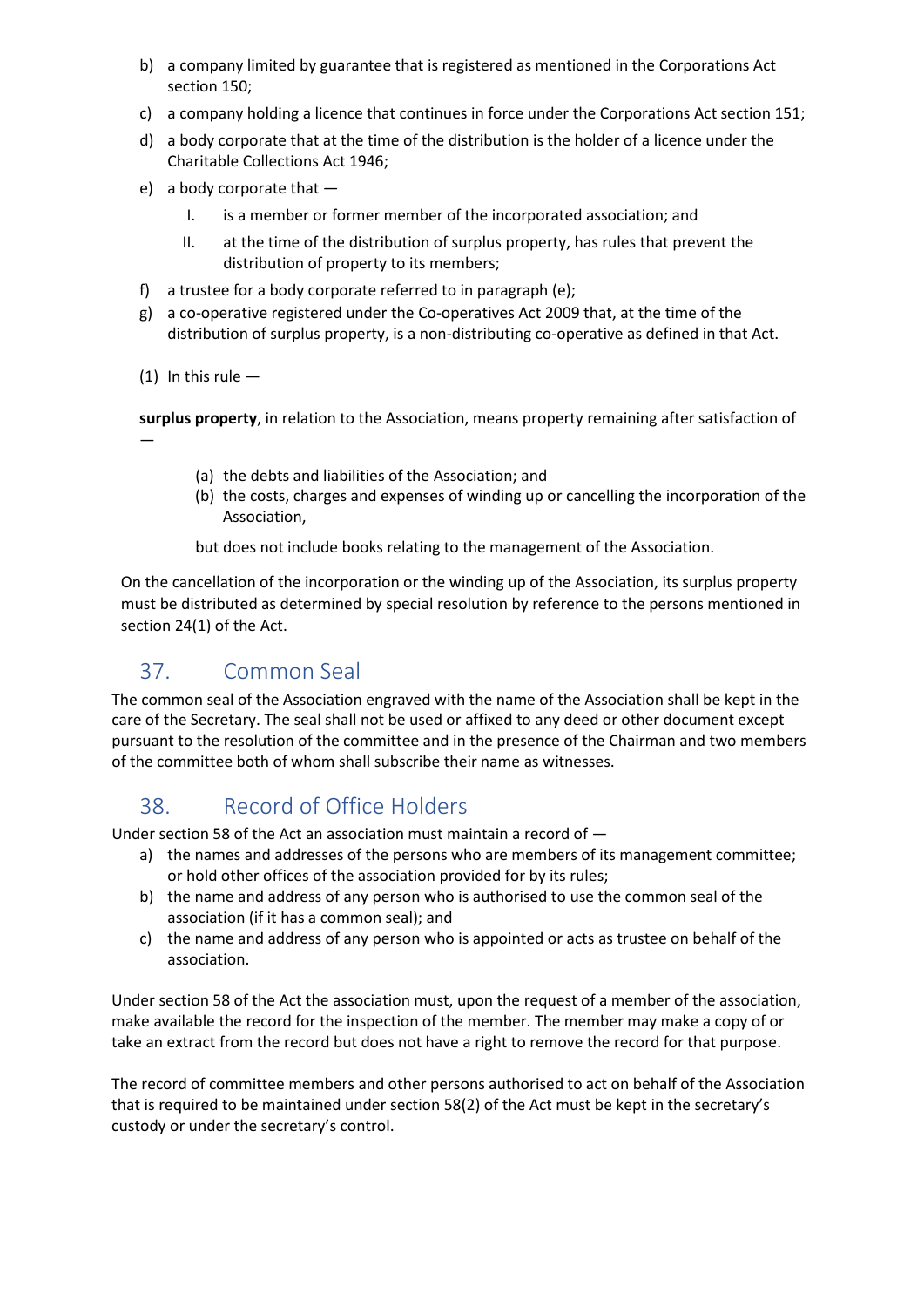- b) a company limited by guarantee that is registered as mentioned in the Corporations Act section 150;
- c) a company holding a licence that continues in force under the Corporations Act section 151;
- d) a body corporate that at the time of the distribution is the holder of a licence under the Charitable Collections Act 1946;
- e) a body corporate that
	- I. is a member or former member of the incorporated association; and
	- II. at the time of the distribution of surplus property, has rules that prevent the distribution of property to its members;
- f) a trustee for a body corporate referred to in paragraph (e);
- g) a co-operative registered under the Co-operatives Act 2009 that, at the time of the distribution of surplus property, is a non-distributing co-operative as defined in that Act.
- (1) In this rule  $-$

**surplus property**, in relation to the Association, means property remaining after satisfaction of —

- (a) the debts and liabilities of the Association; and
- (b) the costs, charges and expenses of winding up or cancelling the incorporation of the Association,

but does not include books relating to the management of the Association.

On the cancellation of the incorporation or the winding up of the Association, its surplus property must be distributed as determined by special resolution by reference to the persons mentioned in section 24(1) of the Act.

# 37. Common Seal

The common seal of the Association engraved with the name of the Association shall be kept in the care of the Secretary. The seal shall not be used or affixed to any deed or other document except pursuant to the resolution of the committee and in the presence of the Chairman and two members of the committee both of whom shall subscribe their name as witnesses.

# 38. Record of Office Holders

Under section 58 of the Act an association must maintain a record of —

- a) the names and addresses of the persons who are members of its management committee; or hold other offices of the association provided for by its rules;
- b) the name and address of any person who is authorised to use the common seal of the association (if it has a common seal); and
- c) the name and address of any person who is appointed or acts as trustee on behalf of the association.

Under section 58 of the Act the association must, upon the request of a member of the association, make available the record for the inspection of the member. The member may make a copy of or take an extract from the record but does not have a right to remove the record for that purpose.

The record of committee members and other persons authorised to act on behalf of the Association that is required to be maintained under section 58(2) of the Act must be kept in the secretary's custody or under the secretary's control.